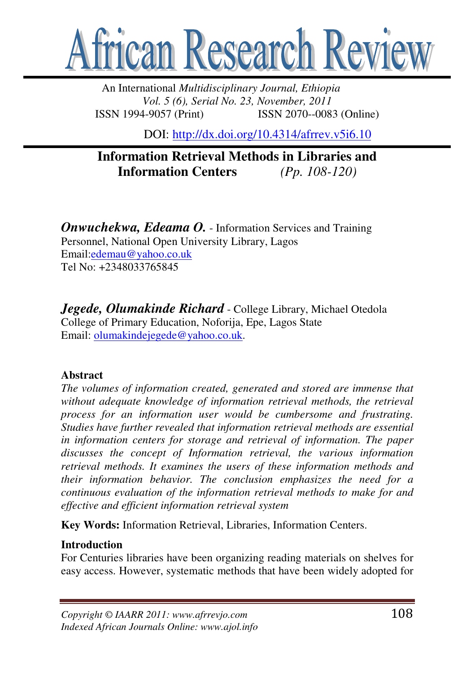

An International *Multidisciplinary Journal, Ethiopia Vol. 5 (6), Serial No. 23, November, 2011*  ISSN 1994-9057 (Print) ISSN 2070--0083 (Online)

DOI: http://dx.doi.org/10.4314/afrrev.v5i6.10

# **Information Retrieval Methods in Libraries and Information Centers** *(Pp. 108-120)*

*Onwuchekwa, Edeama O.* - Information Services and Training Personnel, National Open University Library, Lagos Email:edemau@yahoo.co.uk Tel No: +2348033765845

*Jegede, Olumakinde Richard* - College Library, Michael Otedola College of Primary Education, Noforija, Epe, Lagos State Email: olumakindejegede@yahoo.co.uk.

#### **Abstract**

*The volumes of information created, generated and stored are immense that without adequate knowledge of information retrieval methods, the retrieval process for an information user would be cumbersome and frustrating. Studies have further revealed that information retrieval methods are essential in information centers for storage and retrieval of information. The paper discusses the concept of Information retrieval, the various information retrieval methods. It examines the users of these information methods and their information behavior. The conclusion emphasizes the need for a continuous evaluation of the information retrieval methods to make for and effective and efficient information retrieval system* 

**Key Words:** Information Retrieval, Libraries, Information Centers.

### **Introduction**

For Centuries libraries have been organizing reading materials on shelves for easy access. However, systematic methods that have been widely adopted for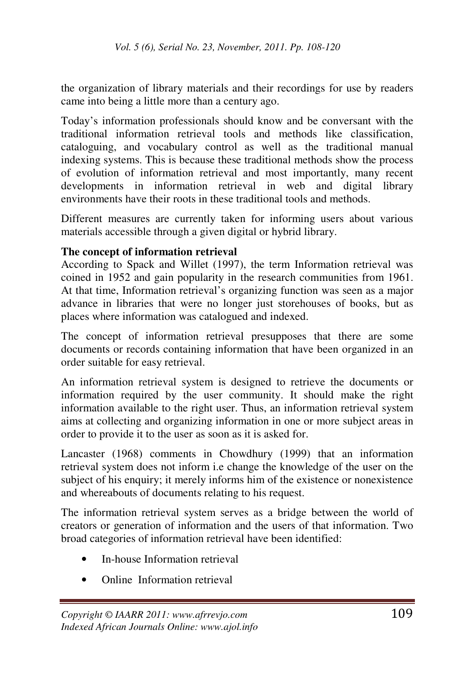the organization of library materials and their recordings for use by readers came into being a little more than a century ago.

Today's information professionals should know and be conversant with the traditional information retrieval tools and methods like classification, cataloguing, and vocabulary control as well as the traditional manual indexing systems. This is because these traditional methods show the process of evolution of information retrieval and most importantly, many recent developments in information retrieval in web and digital library environments have their roots in these traditional tools and methods.

Different measures are currently taken for informing users about various materials accessible through a given digital or hybrid library.

#### **The concept of information retrieval**

According to Spack and Willet (1997), the term Information retrieval was coined in 1952 and gain popularity in the research communities from 1961. At that time, Information retrieval's organizing function was seen as a major advance in libraries that were no longer just storehouses of books, but as places where information was catalogued and indexed.

The concept of information retrieval presupposes that there are some documents or records containing information that have been organized in an order suitable for easy retrieval.

An information retrieval system is designed to retrieve the documents or information required by the user community. It should make the right information available to the right user. Thus, an information retrieval system aims at collecting and organizing information in one or more subject areas in order to provide it to the user as soon as it is asked for.

Lancaster (1968) comments in Chowdhury (1999) that an information retrieval system does not inform i.e change the knowledge of the user on the subject of his enquiry; it merely informs him of the existence or nonexistence and whereabouts of documents relating to his request.

The information retrieval system serves as a bridge between the world of creators or generation of information and the users of that information. Two broad categories of information retrieval have been identified:

- In-house Information retrieval
- Online Information retrieval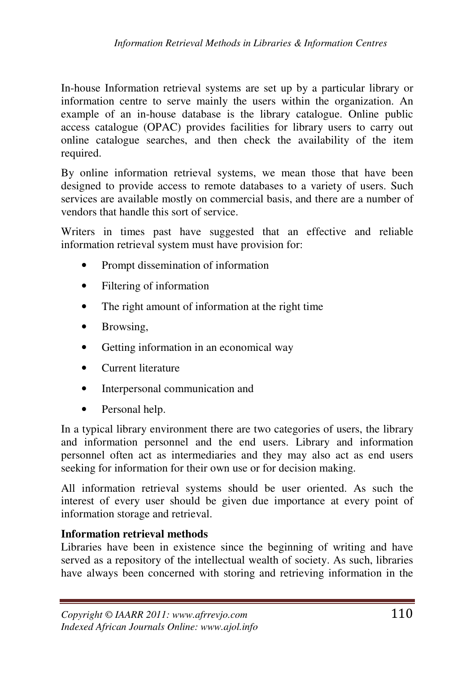In-house Information retrieval systems are set up by a particular library or information centre to serve mainly the users within the organization. An example of an in-house database is the library catalogue. Online public access catalogue (OPAC) provides facilities for library users to carry out online catalogue searches, and then check the availability of the item required.

By online information retrieval systems, we mean those that have been designed to provide access to remote databases to a variety of users. Such services are available mostly on commercial basis, and there are a number of vendors that handle this sort of service.

Writers in times past have suggested that an effective and reliable information retrieval system must have provision for:

- Prompt dissemination of information
- Filtering of information
- The right amount of information at the right time
- Browsing,
- Getting information in an economical way
- Current literature
- Interpersonal communication and
- Personal help.

In a typical library environment there are two categories of users, the library and information personnel and the end users. Library and information personnel often act as intermediaries and they may also act as end users seeking for information for their own use or for decision making.

All information retrieval systems should be user oriented. As such the interest of every user should be given due importance at every point of information storage and retrieval.

#### **Information retrieval methods**

Libraries have been in existence since the beginning of writing and have served as a repository of the intellectual wealth of society. As such, libraries have always been concerned with storing and retrieving information in the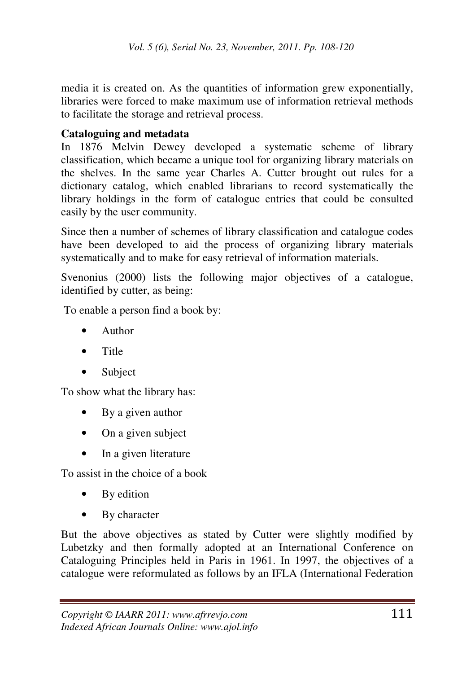media it is created on. As the quantities of information grew exponentially, libraries were forced to make maximum use of information retrieval methods to facilitate the storage and retrieval process.

#### **Cataloguing and metadata**

In 1876 Melvin Dewey developed a systematic scheme of library classification, which became a unique tool for organizing library materials on the shelves. In the same year Charles A. Cutter brought out rules for a dictionary catalog, which enabled librarians to record systematically the library holdings in the form of catalogue entries that could be consulted easily by the user community.

Since then a number of schemes of library classification and catalogue codes have been developed to aid the process of organizing library materials systematically and to make for easy retrieval of information materials.

Svenonius (2000) lists the following major objectives of a catalogue, identified by cutter, as being:

To enable a person find a book by:

- Author
- Title
- Subject

To show what the library has:

- By a given author
- On a given subject
- In a given literature

To assist in the choice of a book

- By edition
- By character

But the above objectives as stated by Cutter were slightly modified by Lubetzky and then formally adopted at an International Conference on Cataloguing Principles held in Paris in 1961. In 1997, the objectives of a catalogue were reformulated as follows by an IFLA (International Federation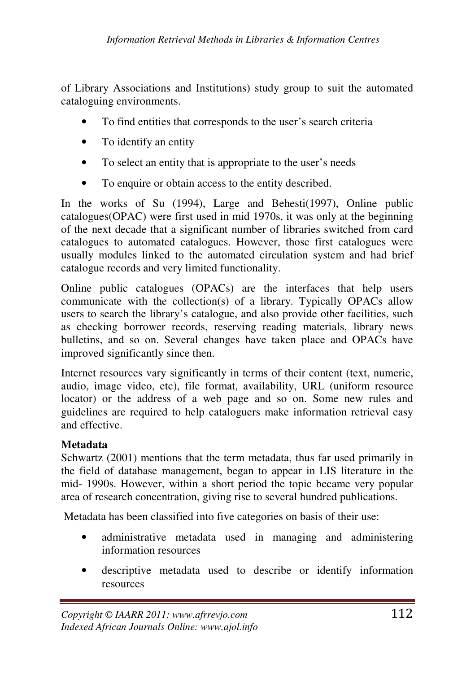of Library Associations and Institutions) study group to suit the automated cataloguing environments.

- To find entities that corresponds to the user's search criteria
- To identify an entity
- To select an entity that is appropriate to the user's needs
- To enquire or obtain access to the entity described.

In the works of Su (1994), Large and Behesti(1997), Online public catalogues(OPAC) were first used in mid 1970s, it was only at the beginning of the next decade that a significant number of libraries switched from card catalogues to automated catalogues. However, those first catalogues were usually modules linked to the automated circulation system and had brief catalogue records and very limited functionality.

Online public catalogues (OPACs) are the interfaces that help users communicate with the collection(s) of a library. Typically OPACs allow users to search the library's catalogue, and also provide other facilities, such as checking borrower records, reserving reading materials, library news bulletins, and so on. Several changes have taken place and OPACs have improved significantly since then.

Internet resources vary significantly in terms of their content (text, numeric, audio, image video, etc), file format, availability, URL (uniform resource locator) or the address of a web page and so on. Some new rules and guidelines are required to help cataloguers make information retrieval easy and effective.

## **Metadata**

Schwartz (2001) mentions that the term metadata, thus far used primarily in the field of database management, began to appear in LIS literature in the mid- 1990s. However, within a short period the topic became very popular area of research concentration, giving rise to several hundred publications.

Metadata has been classified into five categories on basis of their use:

- administrative metadata used in managing and administering information resources
- descriptive metadata used to describe or identify information resources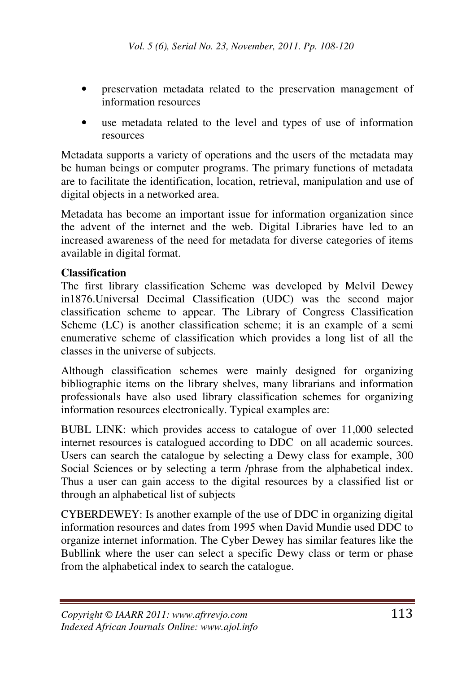- preservation metadata related to the preservation management of information resources
- use metadata related to the level and types of use of information resources

Metadata supports a variety of operations and the users of the metadata may be human beings or computer programs. The primary functions of metadata are to facilitate the identification, location, retrieval, manipulation and use of digital objects in a networked area.

Metadata has become an important issue for information organization since the advent of the internet and the web. Digital Libraries have led to an increased awareness of the need for metadata for diverse categories of items available in digital format.

#### **Classification**

The first library classification Scheme was developed by Melvil Dewey in1876.Universal Decimal Classification (UDC) was the second major classification scheme to appear. The Library of Congress Classification Scheme (LC) is another classification scheme; it is an example of a semi enumerative scheme of classification which provides a long list of all the classes in the universe of subjects.

Although classification schemes were mainly designed for organizing bibliographic items on the library shelves, many librarians and information professionals have also used library classification schemes for organizing information resources electronically. Typical examples are:

BUBL LINK: which provides access to catalogue of over 11,000 selected internet resources is catalogued according to DDC on all academic sources. Users can search the catalogue by selecting a Dewy class for example, 300 Social Sciences or by selecting a term /phrase from the alphabetical index. Thus a user can gain access to the digital resources by a classified list or through an alphabetical list of subjects

CYBERDEWEY: Is another example of the use of DDC in organizing digital information resources and dates from 1995 when David Mundie used DDC to organize internet information. The Cyber Dewey has similar features like the Bubllink where the user can select a specific Dewy class or term or phase from the alphabetical index to search the catalogue.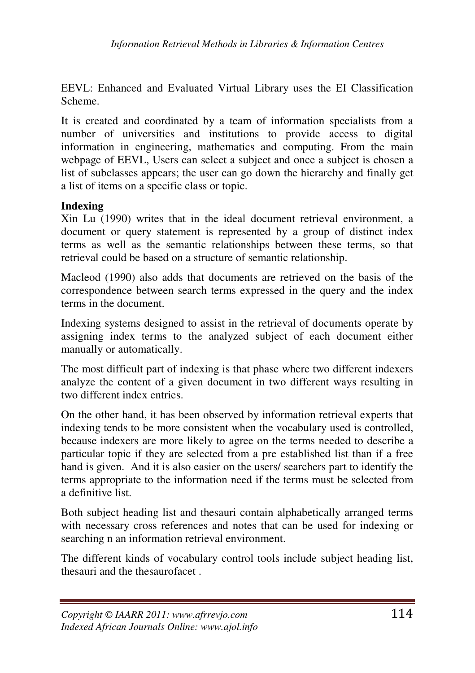EEVL: Enhanced and Evaluated Virtual Library uses the EI Classification Scheme.

It is created and coordinated by a team of information specialists from a number of universities and institutions to provide access to digital information in engineering, mathematics and computing. From the main webpage of EEVL, Users can select a subject and once a subject is chosen a list of subclasses appears; the user can go down the hierarchy and finally get a list of items on a specific class or topic.

#### **Indexing**

Xin Lu (1990) writes that in the ideal document retrieval environment, a document or query statement is represented by a group of distinct index terms as well as the semantic relationships between these terms, so that retrieval could be based on a structure of semantic relationship.

Macleod (1990) also adds that documents are retrieved on the basis of the correspondence between search terms expressed in the query and the index terms in the document.

Indexing systems designed to assist in the retrieval of documents operate by assigning index terms to the analyzed subject of each document either manually or automatically.

The most difficult part of indexing is that phase where two different indexers analyze the content of a given document in two different ways resulting in two different index entries.

On the other hand, it has been observed by information retrieval experts that indexing tends to be more consistent when the vocabulary used is controlled, because indexers are more likely to agree on the terms needed to describe a particular topic if they are selected from a pre established list than if a free hand is given. And it is also easier on the users/ searchers part to identify the terms appropriate to the information need if the terms must be selected from a definitive list.

Both subject heading list and thesauri contain alphabetically arranged terms with necessary cross references and notes that can be used for indexing or searching n an information retrieval environment.

The different kinds of vocabulary control tools include subject heading list, thesauri and the thesaurofacet .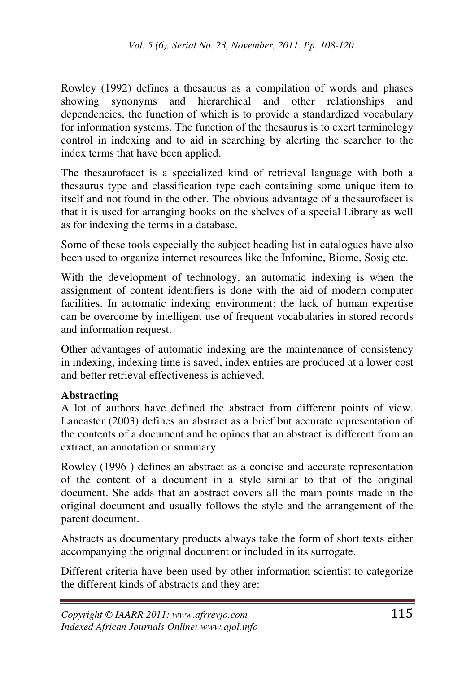Rowley (1992) defines a thesaurus as a compilation of words and phases showing synonyms and hierarchical and other relationships and dependencies, the function of which is to provide a standardized vocabulary for information systems. The function of the thesaurus is to exert terminology control in indexing and to aid in searching by alerting the searcher to the index terms that have been applied.

The thesaurofacet is a specialized kind of retrieval language with both a thesaurus type and classification type each containing some unique item to itself and not found in the other. The obvious advantage of a thesaurofacet is that it is used for arranging books on the shelves of a special Library as well as for indexing the terms in a database.

Some of these tools especially the subject heading list in catalogues have also been used to organize internet resources like the Infomine, Biome, Sosig etc.

With the development of technology, an automatic indexing is when the assignment of content identifiers is done with the aid of modern computer facilities. In automatic indexing environment; the lack of human expertise can be overcome by intelligent use of frequent vocabularies in stored records and information request.

Other advantages of automatic indexing are the maintenance of consistency in indexing, indexing time is saved, index entries are produced at a lower cost and better retrieval effectiveness is achieved.

#### **Abstracting**

A lot of authors have defined the abstract from different points of view. Lancaster (2003) defines an abstract as a brief but accurate representation of the contents of a document and he opines that an abstract is different from an extract, an annotation or summary

Rowley (1996 ) defines an abstract as a concise and accurate representation of the content of a document in a style similar to that of the original document. She adds that an abstract covers all the main points made in the original document and usually follows the style and the arrangement of the parent document.

Abstracts as documentary products always take the form of short texts either accompanying the original document or included in its surrogate.

Different criteria have been used by other information scientist to categorize the different kinds of abstracts and they are: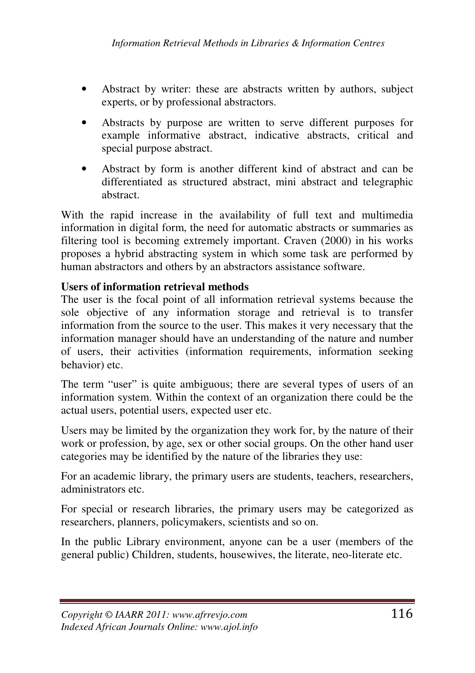- Abstract by writer: these are abstracts written by authors, subject experts, or by professional abstractors.
- Abstracts by purpose are written to serve different purposes for example informative abstract, indicative abstracts, critical and special purpose abstract.
- Abstract by form is another different kind of abstract and can be differentiated as structured abstract, mini abstract and telegraphic abstract.

With the rapid increase in the availability of full text and multimedia information in digital form, the need for automatic abstracts or summaries as filtering tool is becoming extremely important. Craven (2000) in his works proposes a hybrid abstracting system in which some task are performed by human abstractors and others by an abstractors assistance software.

#### **Users of information retrieval methods**

The user is the focal point of all information retrieval systems because the sole objective of any information storage and retrieval is to transfer information from the source to the user. This makes it very necessary that the information manager should have an understanding of the nature and number of users, their activities (information requirements, information seeking behavior) etc.

The term "user" is quite ambiguous; there are several types of users of an information system. Within the context of an organization there could be the actual users, potential users, expected user etc.

Users may be limited by the organization they work for, by the nature of their work or profession, by age, sex or other social groups. On the other hand user categories may be identified by the nature of the libraries they use:

For an academic library, the primary users are students, teachers, researchers, administrators etc.

For special or research libraries, the primary users may be categorized as researchers, planners, policymakers, scientists and so on.

In the public Library environment, anyone can be a user (members of the general public) Children, students, housewives, the literate, neo-literate etc.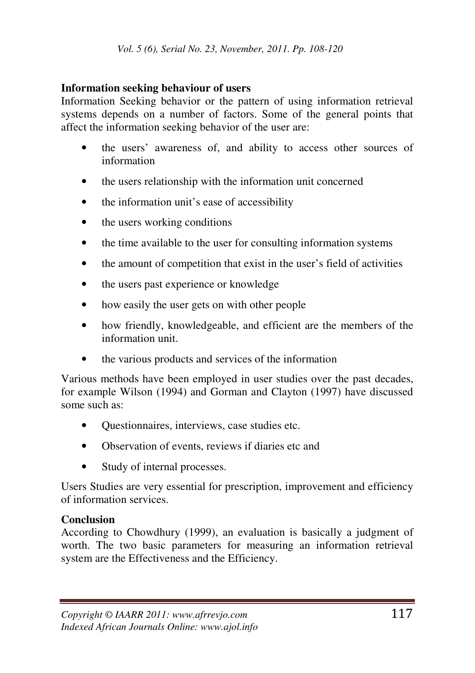#### **Information seeking behaviour of users**

Information Seeking behavior or the pattern of using information retrieval systems depends on a number of factors. Some of the general points that affect the information seeking behavior of the user are:

- the users' awareness of, and ability to access other sources of information
- the users relationship with the information unit concerned
- the information unit's ease of accessibility
- the users working conditions
- the time available to the user for consulting information systems
- the amount of competition that exist in the user's field of activities
- the users past experience or knowledge
- how easily the user gets on with other people
- how friendly, knowledgeable, and efficient are the members of the information unit.
- the various products and services of the information

Various methods have been employed in user studies over the past decades, for example Wilson (1994) and Gorman and Clayton (1997) have discussed some such as:

- Questionnaires, interviews, case studies etc.
- Observation of events, reviews if diaries etc and
- Study of internal processes.

Users Studies are very essential for prescription, improvement and efficiency of information services.

#### **Conclusion**

According to Chowdhury (1999), an evaluation is basically a judgment of worth. The two basic parameters for measuring an information retrieval system are the Effectiveness and the Efficiency.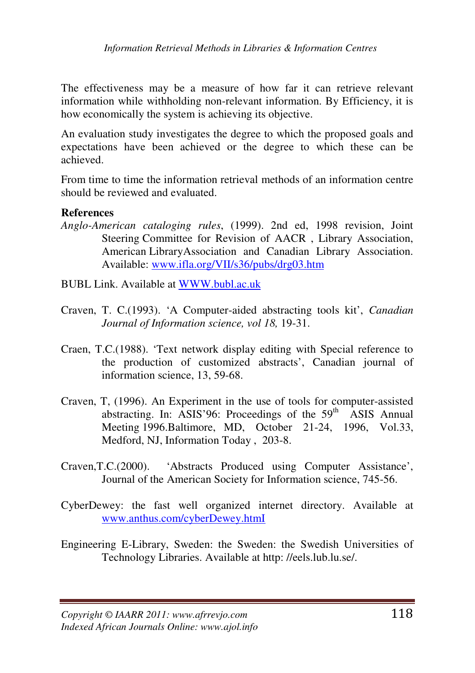The effectiveness may be a measure of how far it can retrieve relevant information while withholding non-relevant information. By Efficiency, it is how economically the system is achieving its objective.

An evaluation study investigates the degree to which the proposed goals and expectations have been achieved or the degree to which these can be achieved.

From time to time the information retrieval methods of an information centre should be reviewed and evaluated.

#### **References**

- *Anglo-American cataloging rules*, (1999). 2nd ed, 1998 revision, Joint Steering Committee for Revision of AACR , Library Association, American Library Association and Canadian Library Association. Available: www.ifla.org/VII/s36/pubs/drg03.htm
- BUBL Link. Available at WWW.bubl.ac.uk
- Craven, T. C.(1993). 'A Computer-aided abstracting tools kit', *Canadian Journal of Information science, vol 18,* 19-31.
- Craen, T.C.(1988). 'Text network display editing with Special reference to the production of customized abstracts', Canadian journal of information science, 13, 59-68.
- Craven, T, (1996). An Experiment in the use of tools for computer-assisted abstracting. In:  $\overrightarrow{ASIS}$ '96: Proceedings of the  $59<sup>th</sup>$  ASIS Annual Meeting 1996.Baltimore, MD, October 21-24, 1996, Vol.33, Medford, NJ, Information Today , 203-8.
- Craven,T.C.(2000). 'Abstracts Produced using Computer Assistance', Journal of the American Society for Information science, 745-56.
- CyberDewey: the fast well organized internet directory. Available at www.anthus.com/cyberDewey.htmI
- Engineering E-Library, Sweden: the Sweden: the Swedish Universities of Technology Libraries. Available at http: //eels.lub.lu.se/.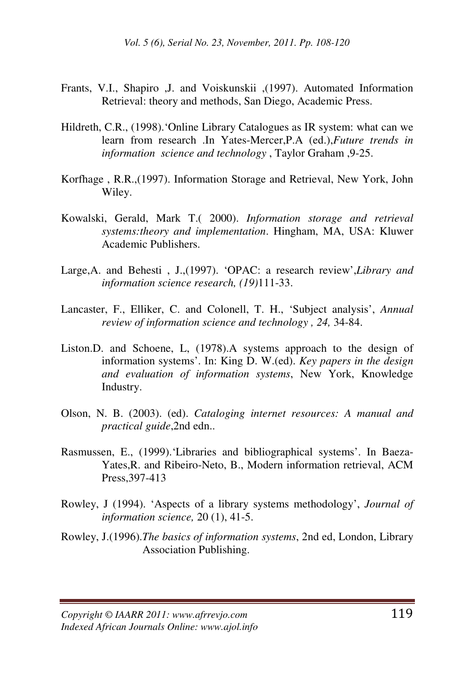- Frants, V.I., Shapiro ,J. and Voiskunskii ,(1997). Automated Information Retrieval: theory and methods, San Diego, Academic Press.
- Hildreth, C.R., (1998).'Online Library Catalogues as IR system: what can we learn from research .In Yates-Mercer,P.A (ed.),*Future trends in information science and technology* , Taylor Graham ,9-25.
- Korfhage , R.R.,(1997). Information Storage and Retrieval, New York, John Wiley.
- Kowalski, Gerald, Mark T.( 2000). *Information storage and retrieval systems:theory and implementation*. Hingham, MA, USA: Kluwer Academic Publishers.
- Large,A. and Behesti , J.,(1997). 'OPAC: a research review',*Library and information science research, (19)*111-33.
- Lancaster, F., Elliker, C. and Colonell, T. H., 'Subject analysis', *Annual review of information science and technology , 24,* 34-84.
- Liston.D. and Schoene, L, (1978).A systems approach to the design of information systems'. In: King D. W.(ed). *Key papers in the design and evaluation of information systems*, New York, Knowledge Industry.
- Olson, N. B. (2003). (ed). *Cataloging internet resources: A manual and practical guide*,2nd edn..
- Rasmussen, E., (1999).'Libraries and bibliographical systems'. In Baeza-Yates,R. and Ribeiro-Neto, B., Modern information retrieval, ACM Press,397-413
- Rowley, J (1994). 'Aspects of a library systems methodology', *Journal of information science,* 20 (1), 41-5.
- Rowley, J.(1996).*The basics of information systems*, 2nd ed, London, Library Association Publishing.